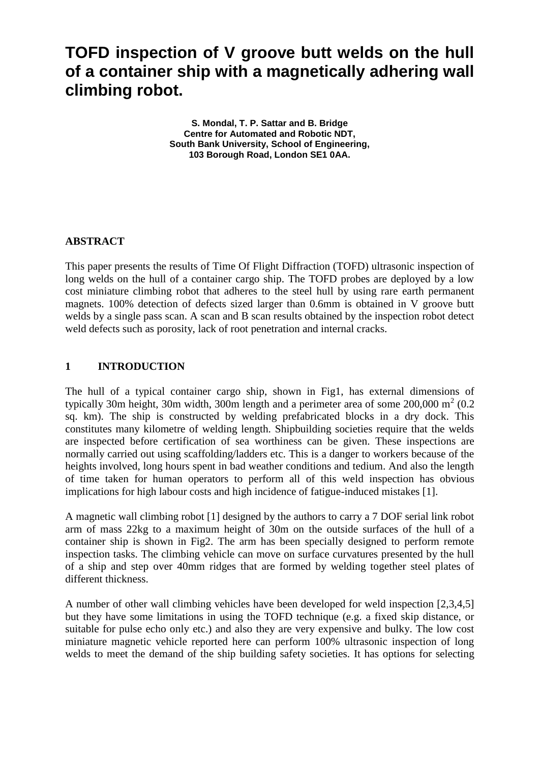# **TOFD inspection of V groove butt welds on the hull of a container ship with a magnetically adhering wall climbing robot.**

**S. Mondal, T. P. Sattar and B. Bridge Centre for Automated and Robotic NDT, South Bank University, School of Engineering, 103 Borough Road, London SE1 0AA.**

## **ABSTRACT**

This paper presents the results of Time Of Flight Diffraction (TOFD) ultrasonic inspection of long welds on the hull of a container cargo ship. The TOFD probes are deployed by a low cost miniature climbing robot that adheres to the steel hull by using rare earth permanent magnets. 100% detection of defects sized larger than 0.6mm is obtained in V groove butt welds by a single pass scan. A scan and B scan results obtained by the inspection robot detect weld defects such as porosity, lack of root penetration and internal cracks.

## **1 INTRODUCTION**

The hull of a typical container cargo ship, shown in Fig1, has external dimensions of typically 30m height, 30m width, 300m length and a perimeter area of some  $200,000 \text{ m}^2 (0.2)$ sq. km). The ship is constructed by welding prefabricated blocks in a dry dock. This constitutes many kilometre of welding length. Shipbuilding societies require that the welds are inspected before certification of sea worthiness can be given. These inspections are normally carried out using scaffolding/ladders etc. This is a danger to workers because of the heights involved, long hours spent in bad weather conditions and tedium. And also the length of time taken for human operators to perform all of this weld inspection has obvious implications for high labour costs and high incidence of fatigue-induced mistakes [1].

A magnetic wall climbing robot [1] designed by the authors to carry a 7 DOF serial link robot arm of mass 22kg to a maximum height of 30m on the outside surfaces of the hull of a container ship is shown in Fig2. The arm has been specially designed to perform remote inspection tasks. The climbing vehicle can move on surface curvatures presented by the hull of a ship and step over 40mm ridges that are formed by welding together steel plates of different thickness.

A number of other wall climbing vehicles have been developed for weld inspection [2,3,4,5] but they have some limitations in using the TOFD technique (e.g. a fixed skip distance, or suitable for pulse echo only etc.) and also they are very expensive and bulky. The low cost miniature magnetic vehicle reported here can perform 100% ultrasonic inspection of long welds to meet the demand of the ship building safety societies. It has options for selecting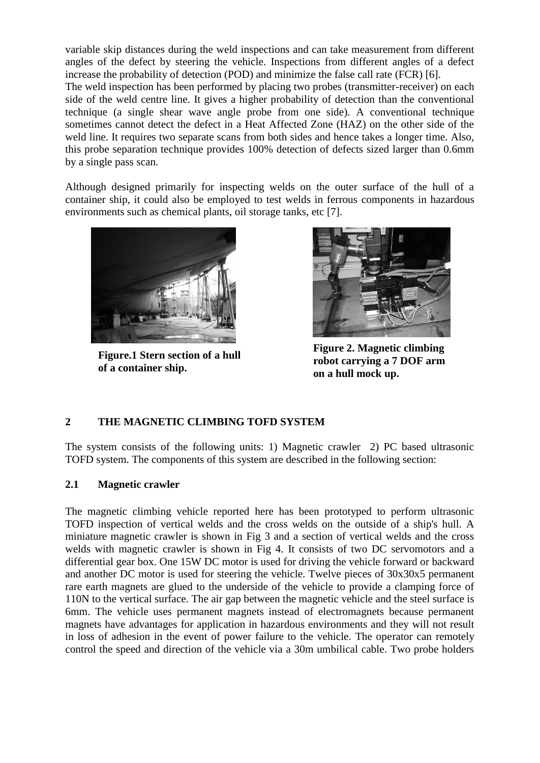variable skip distances during the weld inspections and can take measurement from different angles of the defect by steering the vehicle. Inspections from different angles of a defect increase the probability of detection (POD) and minimize the false call rate (FCR) [6].

The weld inspection has been performed by placing two probes (transmitter-receiver) on each side of the weld centre line. It gives a higher probability of detection than the conventional technique (a single shear wave angle probe from one side). A conventional technique sometimes cannot detect the defect in a Heat Affected Zone (HAZ) on the other side of the weld line. It requires two separate scans from both sides and hence takes a longer time. Also, this probe separation technique provides 100% detection of defects sized larger than 0.6mm by a single pass scan.

Although designed primarily for inspecting welds on the outer surface of the hull of a container ship, it could also be employed to test welds in ferrous components in hazardous environments such as chemical plants, oil storage tanks, etc [7].



**Figure.1 Stern section of a hull of a container ship.**



**Figure 2. Magnetic climbing robot carrying a 7 DOF arm on a hull mock up.**

# **2 THE MAGNETIC CLIMBING TOFD SYSTEM**

The system consists of the following units: 1) Magnetic crawler 2) PC based ultrasonic TOFD system. The components of this system are described in the following section:

#### **2.1 Magnetic crawler**

The magnetic climbing vehicle reported here has been prototyped to perform ultrasonic TOFD inspection of vertical welds and the cross welds on the outside of a ship's hull. A miniature magnetic crawler is shown in Fig 3 and a section of vertical welds and the cross welds with magnetic crawler is shown in Fig 4. It consists of two DC servomotors and a differential gear box. One 15W DC motor is used for driving the vehicle forward or backward and another DC motor is used for steering the vehicle. Twelve pieces of 30x30x5 permanent rare earth magnets are glued to the underside of the vehicle to provide a clamping force of 110N to the vertical surface. The air gap between the magnetic vehicle and the steel surface is 6mm. The vehicle uses permanent magnets instead of electromagnets because permanent magnets have advantages for application in hazardous environments and they will not result in loss of adhesion in the event of power failure to the vehicle. The operator can remotely control the speed and direction of the vehicle via a 30m umbilical cable. Two probe holders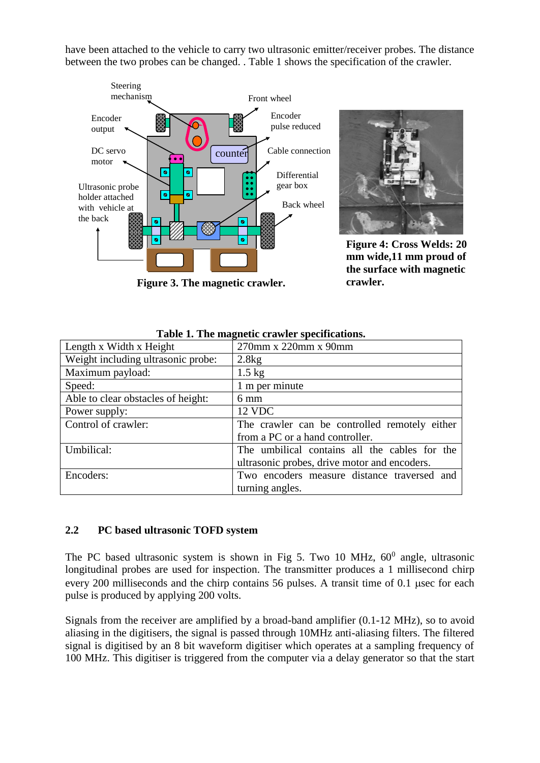have been attached to the vehicle to carry two ultrasonic emitter/receiver probes. The distance between the two probes can be changed. . Table 1 shows the specification of the crawler.



**Figure 3. The magnetic crawler.**



**Figure 4: Cross Welds: 20 mm wide,11 mm proud of the surface with magnetic crawler.**

| Length x Width x Height            | 270mm x 220mm x 90mm                          |
|------------------------------------|-----------------------------------------------|
| Weight including ultrasonic probe: | 2.8kg                                         |
| Maximum payload:                   | $1.5 \text{ kg}$                              |
| Speed:                             | 1 m per minute                                |
| Able to clear obstacles of height: | $6 \text{ mm}$                                |
| Power supply:                      | 12 VDC                                        |
| Control of crawler:                | The crawler can be controlled remotely either |
|                                    | from a PC or a hand controller.               |
| Umbilical:                         | The umbilical contains all the cables for the |
|                                    | ultrasonic probes, drive motor and encoders.  |
| Encoders:                          | Two encoders measure distance traversed and   |
|                                    | turning angles.                               |

### **Table 1. The magnetic crawler specifications.**

# **2.2 PC based ultrasonic TOFD system**

The PC based ultrasonic system is shown in Fig 5. Two 10 MHz,  $60^0$  angle, ultrasonic longitudinal probes are used for inspection. The transmitter produces a 1 millisecond chirp every 200 milliseconds and the chirp contains 56 pulses. A transit time of 0.1 usec for each pulse is produced by applying 200 volts.

Signals from the receiver are amplified by a broad-band amplifier (0.1-12 MHz), so to avoid aliasing in the digitisers, the signal is passed through 10MHz anti-aliasing filters. The filtered signal is digitised by an 8 bit waveform digitiser which operates at a sampling frequency of 100 MHz. This digitiser is triggered from the computer via a delay generator so that the start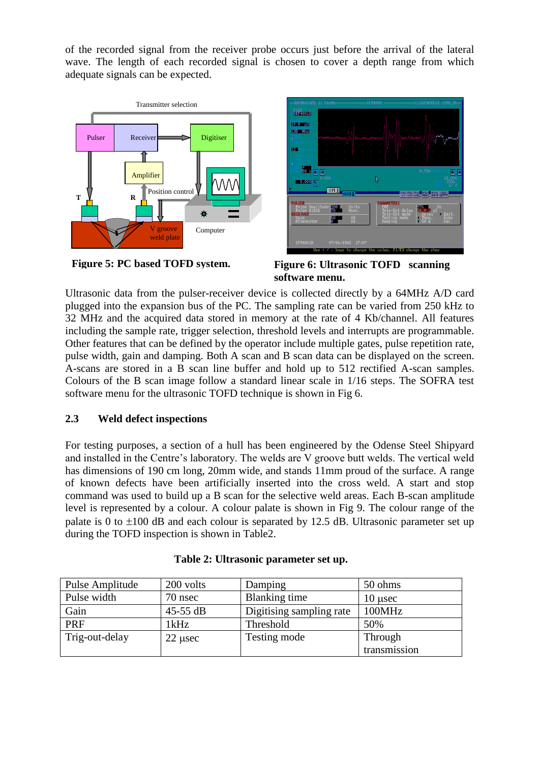of the recorded signal from the receiver probe occurs just before the arrival of the lateral wave. The length of each recorded signal is chosen to cover a depth range from which adequate signals can be expected.







**Figure 5: PC based TOFD system. Figure 6: Ultrasonic TOFD scanning software menu.**

Ultrasonic data from the pulser-receiver device is collected directly by a 64MHz A/D card plugged into the expansion bus of the PC. The sampling rate can be varied from 250 kHz to 32 MHz and the acquired data stored in memory at the rate of 4 Kb/channel. All features including the sample rate, trigger selection, threshold levels and interrupts are programmable. Other features that can be defined by the operator include multiple gates, pulse repetition rate, pulse width, gain and damping. Both A scan and B scan data can be displayed on the screen. A-scans are stored in a B scan line buffer and hold up to 512 rectified A-scan samples. Colours of the B scan image follow a standard linear scale in 1/16 steps. The SOFRA test software menu for the ultrasonic TOFD technique is shown in Fig 6.

# **2.3 Weld defect inspections**

For testing purposes, a section of a hull has been engineered by the Odense Steel Shipyard and installed in the Centre's laboratory. The welds are V groove butt welds. The vertical weld has dimensions of 190 cm long, 20mm wide, and stands 11mm proud of the surface. A range of known defects have been artificially inserted into the cross weld. A start and stop command was used to build up a B scan for the selective weld areas. Each B-scan amplitude level is represented by a colour. A colour palate is shown in Fig 9. The colour range of the palate is 0 to  $\pm 100$  dB and each colour is separated by 12.5 dB. Ultrasonic parameter set up during the TOFD inspection is shown in Table2.

| Pulse Amplitude | 200 volts | Damping                  | 50 ohms      |
|-----------------|-----------|--------------------------|--------------|
| Pulse width     | 70 nsec   | Blanking time            | $10 \mu$ sec |
| Gain            | 45-55 dB  | Digitising sampling rate | 100MHz       |
| PRF             | 1kHz      | Threshold                | 50%          |
| Trig-out-delay  | $22$ usec | Testing mode             | Through      |
|                 |           |                          | transmission |

|  | Table 2: Ultrasonic parameter set up. |  |  |  |
|--|---------------------------------------|--|--|--|
|--|---------------------------------------|--|--|--|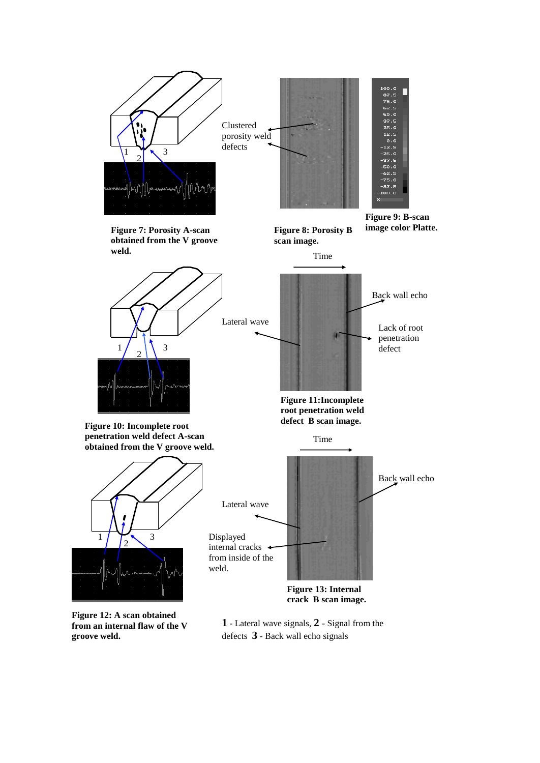

**Figure 12: A scan obtained from an internal flaw of the V groove weld.**

**1** - Lateral wave signals, **2** - Signal from the defects **3** - Back wall echo signals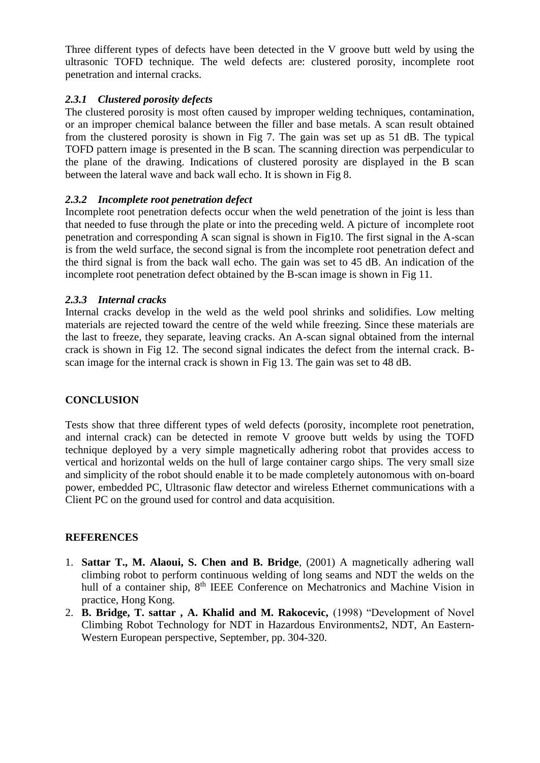Three different types of defects have been detected in the V groove butt weld by using the ultrasonic TOFD technique. The weld defects are: clustered porosity, incomplete root penetration and internal cracks.

# *2.3.1 Clustered porosity defects*

The clustered porosity is most often caused by improper welding techniques, contamination, or an improper chemical balance between the filler and base metals. A scan result obtained from the clustered porosity is shown in Fig 7. The gain was set up as 51 dB. The typical TOFD pattern image is presented in the B scan. The scanning direction was perpendicular to the plane of the drawing. Indications of clustered porosity are displayed in the B scan between the lateral wave and back wall echo. It is shown in Fig 8.

# *2.3.2 Incomplete root penetration defect*

Incomplete root penetration defects occur when the weld penetration of the joint is less than that needed to fuse through the plate or into the preceding weld. A picture of incomplete root penetration and corresponding A scan signal is shown in Fig10. The first signal in the A-scan is from the weld surface, the second signal is from the incomplete root penetration defect and the third signal is from the back wall echo. The gain was set to 45 dB. An indication of the incomplete root penetration defect obtained by the B-scan image is shown in Fig 11.

# *2.3.3 Internal cracks*

Internal cracks develop in the weld as the weld pool shrinks and solidifies. Low melting materials are rejected toward the centre of the weld while freezing. Since these materials are the last to freeze, they separate, leaving cracks. An A-scan signal obtained from the internal crack is shown in Fig 12. The second signal indicates the defect from the internal crack. Bscan image for the internal crack is shown in Fig 13. The gain was set to 48 dB.

# **CONCLUSION**

Tests show that three different types of weld defects (porosity, incomplete root penetration, and internal crack) can be detected in remote V groove butt welds by using the TOFD technique deployed by a very simple magnetically adhering robot that provides access to vertical and horizontal welds on the hull of large container cargo ships. The very small size and simplicity of the robot should enable it to be made completely autonomous with on-board power, embedded PC, Ultrasonic flaw detector and wireless Ethernet communications with a Client PC on the ground used for control and data acquisition.

# **REFERENCES**

- 1. **Sattar T., M. Alaoui, S. Chen and B. Bridge**, (2001) A magnetically adhering wall climbing robot to perform continuous welding of long seams and NDT the welds on the hull of a container ship, 8<sup>th</sup> IEEE Conference on Mechatronics and Machine Vision in practice, Hong Kong.
- 2. **B. Bridge, T. sattar , A. Khalid and M. Rakocevic,** (1998) "Development of Novel Climbing Robot Technology for NDT in Hazardous Environments2, NDT, An Eastern-Western European perspective, September, pp. 304-320.